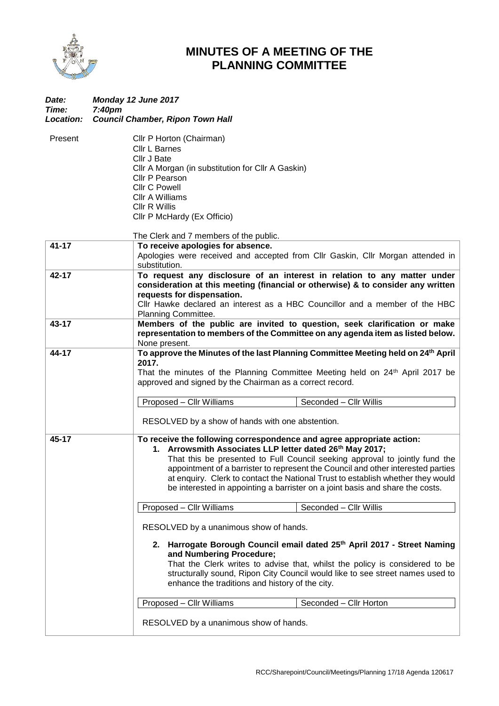

## **MINUTES OF A MEETING OF THE PLANNING COMMITTEE**

| Date:<br>Time:<br>Location: | Monday 12 June 2017<br>7:40 <sub>pm</sub>                                                                                                                                                                                                                                                                                                                                                                                                                                |
|-----------------------------|--------------------------------------------------------------------------------------------------------------------------------------------------------------------------------------------------------------------------------------------------------------------------------------------------------------------------------------------------------------------------------------------------------------------------------------------------------------------------|
|                             | <b>Council Chamber, Ripon Town Hall</b>                                                                                                                                                                                                                                                                                                                                                                                                                                  |
| Present                     | Cllr P Horton (Chairman)<br><b>Cllr L Barnes</b><br>Cllr J Bate<br>Cllr A Morgan (in substitution for Cllr A Gaskin)<br>Cllr P Pearson<br><b>Cllr C Powell</b><br>Cllr A Williams<br><b>Cllr R Willis</b><br>Cllr P McHardy (Ex Officio)                                                                                                                                                                                                                                 |
|                             | The Clerk and 7 members of the public.                                                                                                                                                                                                                                                                                                                                                                                                                                   |
| $41 - 17$                   | To receive apologies for absence.<br>Apologies were received and accepted from Cllr Gaskin, Cllr Morgan attended in<br>substitution.                                                                                                                                                                                                                                                                                                                                     |
| 42-17                       | To request any disclosure of an interest in relation to any matter under<br>consideration at this meeting (financial or otherwise) & to consider any written<br>requests for dispensation.<br>Cllr Hawke declared an interest as a HBC Councillor and a member of the HBC                                                                                                                                                                                                |
| 43-17                       | Planning Committee.<br>Members of the public are invited to question, seek clarification or make<br>representation to members of the Committee on any agenda item as listed below.<br>None present.                                                                                                                                                                                                                                                                      |
| 44-17                       | To approve the Minutes of the last Planning Committee Meeting held on 24 <sup>th</sup> April<br>2017.<br>That the minutes of the Planning Committee Meeting held on 24 <sup>th</sup> April 2017 be<br>approved and signed by the Chairman as a correct record.<br>Seconded - Cllr Willis<br>Proposed - Cllr Williams<br>RESOLVED by a show of hands with one abstention.                                                                                                 |
| 45-17                       | To receive the following correspondence and agree appropriate action:<br>1. Arrowsmith Associates LLP letter dated 26th May 2017;<br>That this be presented to Full Council seeking approval to jointly fund the<br>appointment of a barrister to represent the Council and other interested parties<br>at enquiry. Clerk to contact the National Trust to establish whether they would<br>be interested in appointing a barrister on a joint basis and share the costs. |
|                             | Proposed - Cllr Williams<br>Seconded - Cllr Willis                                                                                                                                                                                                                                                                                                                                                                                                                       |
|                             | RESOLVED by a unanimous show of hands.<br>2. Harrogate Borough Council email dated 25th April 2017 - Street Naming<br>and Numbering Procedure;<br>That the Clerk writes to advise that, whilst the policy is considered to be<br>structurally sound, Ripon City Council would like to see street names used to<br>enhance the traditions and history of the city.                                                                                                        |
|                             | Proposed - Cllr Williams<br>Seconded - Cllr Horton                                                                                                                                                                                                                                                                                                                                                                                                                       |
|                             | RESOLVED by a unanimous show of hands.                                                                                                                                                                                                                                                                                                                                                                                                                                   |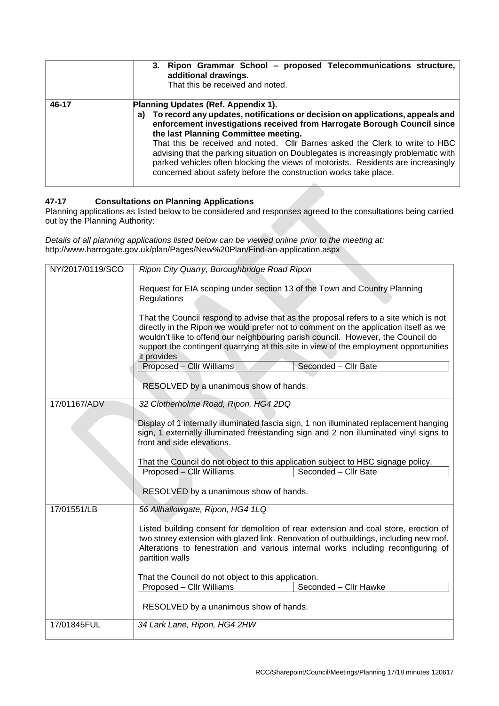|       | 3. Ripon Grammar School - proposed Telecommunications structure,<br>additional drawings.<br>That this be received and noted.                                                                                                                                                                                                                                                                                                                                                                                                                                                   |
|-------|--------------------------------------------------------------------------------------------------------------------------------------------------------------------------------------------------------------------------------------------------------------------------------------------------------------------------------------------------------------------------------------------------------------------------------------------------------------------------------------------------------------------------------------------------------------------------------|
| 46-17 | Planning Updates (Ref. Appendix 1).<br>To record any updates, notifications or decision on applications, appeals and<br>a)<br>enforcement investigations received from Harrogate Borough Council since<br>the last Planning Committee meeting.<br>That this be received and noted. Cllr Barnes asked the Clerk to write to HBC<br>advising that the parking situation on Doublegates is increasingly problematic with<br>parked vehicles often blocking the views of motorists. Residents are increasingly<br>concerned about safety before the construction works take place. |

## **47-17 Consultations on Planning Applications**

Planning applications as listed below to be considered and responses agreed to the consultations being carried out by the Planning Authority:

*Details of all planning applications listed below can be viewed online prior to the meeting at:* http://www.harrogate.gov.uk/plan/Pages/New%20Plan/Find-an-application.aspx

| NY/2017/0119/SCO | Ripon City Quarry, Boroughbridge Road Ripon                                                                                                                                                                                                                                                                                                                               |  |  |
|------------------|---------------------------------------------------------------------------------------------------------------------------------------------------------------------------------------------------------------------------------------------------------------------------------------------------------------------------------------------------------------------------|--|--|
|                  | Request for EIA scoping under section 13 of the Town and Country Planning<br>Regulations                                                                                                                                                                                                                                                                                  |  |  |
|                  | That the Council respond to advise that as the proposal refers to a site which is not<br>directly in the Ripon we would prefer not to comment on the application itself as we<br>wouldn't like to offend our neighbouring parish council. However, the Council do<br>support the contingent quarrying at this site in view of the employment opportunities<br>it provides |  |  |
|                  | Proposed - Cllr Williams<br>Seconded - Cllr Bate                                                                                                                                                                                                                                                                                                                          |  |  |
|                  | RESOLVED by a unanimous show of hands.                                                                                                                                                                                                                                                                                                                                    |  |  |
| 17/01167/ADV     | 32 Clotherholme Road, Ripon, HG4 2DQ                                                                                                                                                                                                                                                                                                                                      |  |  |
|                  | Display of 1 internally illuminated fascia sign, 1 non illuminated replacement hanging<br>sign, 1 externally illuminated freestanding sign and 2 non illuminated vinyl signs to<br>front and side elevations.                                                                                                                                                             |  |  |
|                  | That the Council do not object to this application subject to HBC signage policy.                                                                                                                                                                                                                                                                                         |  |  |
|                  | Seconded - Cllr Bate<br>Proposed - Cllr Williams<br>RESOLVED by a unanimous show of hands.                                                                                                                                                                                                                                                                                |  |  |
| 17/01551/LB      | 56 Allhallowgate, Ripon, HG4 1LQ                                                                                                                                                                                                                                                                                                                                          |  |  |
|                  | Listed building consent for demolition of rear extension and coal store, erection of<br>two storey extension with glazed link. Renovation of outbuildings, including new roof.<br>Alterations to fenestration and various internal works including reconfiguring of<br>partition walls                                                                                    |  |  |
|                  | That the Council do not object to this application.                                                                                                                                                                                                                                                                                                                       |  |  |
|                  | Seconded - Cllr Hawke<br>Proposed - Cllr Williams                                                                                                                                                                                                                                                                                                                         |  |  |
|                  | RESOLVED by a unanimous show of hands.                                                                                                                                                                                                                                                                                                                                    |  |  |
| 17/01845FUL      | 34 Lark Lane, Ripon, HG4 2HW                                                                                                                                                                                                                                                                                                                                              |  |  |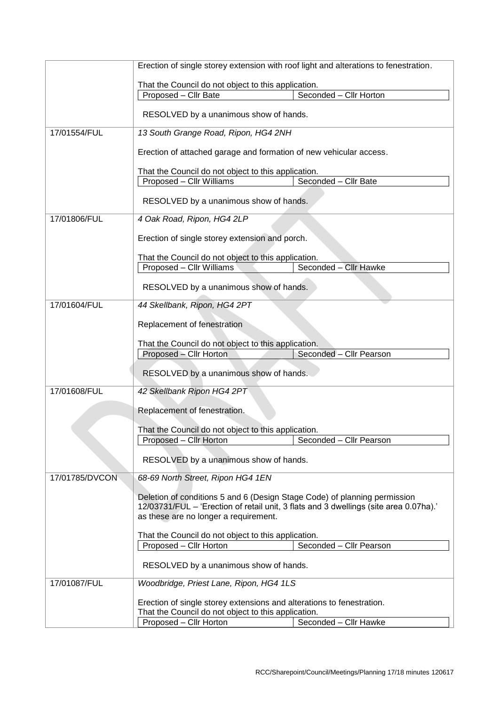|                                                     | Erection of single storey extension with roof light and alterations to fenestration.                                                                                                                        |                         |  |  |
|-----------------------------------------------------|-------------------------------------------------------------------------------------------------------------------------------------------------------------------------------------------------------------|-------------------------|--|--|
|                                                     | That the Council do not object to this application.                                                                                                                                                         |                         |  |  |
|                                                     | Proposed - Cllr Bate                                                                                                                                                                                        | Seconded - Cllr Horton  |  |  |
|                                                     | RESOLVED by a unanimous show of hands.                                                                                                                                                                      |                         |  |  |
| 17/01554/FUL                                        | 13 South Grange Road, Ripon, HG4 2NH                                                                                                                                                                        |                         |  |  |
|                                                     | Erection of attached garage and formation of new vehicular access.                                                                                                                                          |                         |  |  |
|                                                     | That the Council do not object to this application.                                                                                                                                                         |                         |  |  |
|                                                     | Proposed - Cllr Williams                                                                                                                                                                                    | Seconded - Cllr Bate    |  |  |
|                                                     | RESOLVED by a unanimous show of hands.                                                                                                                                                                      |                         |  |  |
| 17/01806/FUL                                        | 4 Oak Road, Ripon, HG4 2LP                                                                                                                                                                                  |                         |  |  |
|                                                     | Erection of single storey extension and porch.                                                                                                                                                              |                         |  |  |
|                                                     | That the Council do not object to this application.                                                                                                                                                         |                         |  |  |
|                                                     | Proposed - Cllr Williams                                                                                                                                                                                    | Seconded - Cllr Hawke   |  |  |
|                                                     | RESOLVED by a unanimous show of hands.                                                                                                                                                                      |                         |  |  |
| 17/01604/FUL                                        | 44 Skellbank, Ripon, HG4 2PT                                                                                                                                                                                |                         |  |  |
|                                                     |                                                                                                                                                                                                             |                         |  |  |
|                                                     | That the Council do not object to this application.                                                                                                                                                         |                         |  |  |
|                                                     | Proposed - Cllr Horton                                                                                                                                                                                      | Seconded - Cllr Pearson |  |  |
| RESOLVED by a unanimous show of hands.              |                                                                                                                                                                                                             |                         |  |  |
| 17/01608/FUL                                        | 42 Skellbank Ripon HG4 2PT                                                                                                                                                                                  |                         |  |  |
|                                                     | Replacement of fenestration.                                                                                                                                                                                |                         |  |  |
|                                                     | That the Council do not object to this application.                                                                                                                                                         |                         |  |  |
|                                                     | Proposed - Cllr Horton                                                                                                                                                                                      | Seconded - Cllr Pearson |  |  |
|                                                     | RESOLVED by a unanimous show of hands.                                                                                                                                                                      |                         |  |  |
| 17/01785/DVCON                                      | 68-69 North Street, Ripon HG4 1EN                                                                                                                                                                           |                         |  |  |
|                                                     | Deletion of conditions 5 and 6 (Design Stage Code) of planning permission<br>12/03731/FUL – 'Erection of retail unit, 3 flats and 3 dwellings (site area 0.07ha).'<br>as these are no longer a requirement. |                         |  |  |
| That the Council do not object to this application. |                                                                                                                                                                                                             |                         |  |  |
|                                                     | Proposed - Cllr Horton                                                                                                                                                                                      | Seconded - Cllr Pearson |  |  |
|                                                     | RESOLVED by a unanimous show of hands.                                                                                                                                                                      |                         |  |  |
| 17/01087/FUL                                        | Woodbridge, Priest Lane, Ripon, HG4 1LS<br>Erection of single storey extensions and alterations to fenestration.<br>That the Council do not object to this application.                                     |                         |  |  |
|                                                     |                                                                                                                                                                                                             |                         |  |  |
|                                                     | Proposed - Cllr Horton                                                                                                                                                                                      | Seconded - Cllr Hawke   |  |  |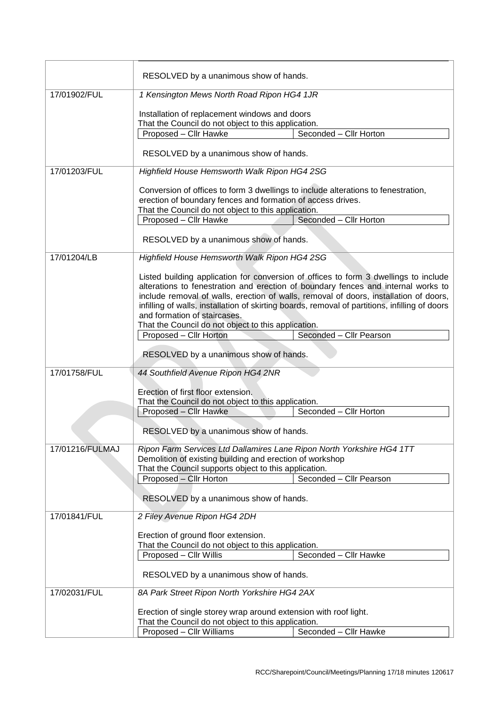|                 | RESOLVED by a unanimous show of hands.                                                                                                                                                                                                                                                                                                                                                                                                                      |                         |  |
|-----------------|-------------------------------------------------------------------------------------------------------------------------------------------------------------------------------------------------------------------------------------------------------------------------------------------------------------------------------------------------------------------------------------------------------------------------------------------------------------|-------------------------|--|
| 17/01902/FUL    | 1 Kensington Mews North Road Ripon HG4 1JR                                                                                                                                                                                                                                                                                                                                                                                                                  |                         |  |
|                 | Installation of replacement windows and doors<br>That the Council do not object to this application.                                                                                                                                                                                                                                                                                                                                                        |                         |  |
|                 | Proposed - Cllr Hawke                                                                                                                                                                                                                                                                                                                                                                                                                                       | Seconded - Cllr Horton  |  |
|                 | RESOLVED by a unanimous show of hands.                                                                                                                                                                                                                                                                                                                                                                                                                      |                         |  |
| 17/01203/FUL    | Highfield House Hemsworth Walk Ripon HG4 2SG                                                                                                                                                                                                                                                                                                                                                                                                                |                         |  |
|                 | Conversion of offices to form 3 dwellings to include alterations to fenestration,<br>erection of boundary fences and formation of access drives.<br>That the Council do not object to this application.                                                                                                                                                                                                                                                     |                         |  |
|                 | Proposed - Cllr Hawke                                                                                                                                                                                                                                                                                                                                                                                                                                       | Seconded - Cllr Horton  |  |
|                 | RESOLVED by a unanimous show of hands.                                                                                                                                                                                                                                                                                                                                                                                                                      |                         |  |
| 17/01204/LB     | Highfield House Hemsworth Walk Ripon HG4 2SG                                                                                                                                                                                                                                                                                                                                                                                                                |                         |  |
|                 | Listed building application for conversion of offices to form 3 dwellings to include<br>alterations to fenestration and erection of boundary fences and internal works to<br>include removal of walls, erection of walls, removal of doors, installation of doors,<br>infilling of walls, installation of skirting boards, removal of partitions, infilling of doors<br>and formation of staircases.<br>That the Council do not object to this application. |                         |  |
|                 | Proposed - Cllr Horton                                                                                                                                                                                                                                                                                                                                                                                                                                      | Seconded - Cllr Pearson |  |
|                 | RESOLVED by a unanimous show of hands.                                                                                                                                                                                                                                                                                                                                                                                                                      |                         |  |
| 17/01758/FUL    | 44 Southfield Avenue Ripon HG4 2NR                                                                                                                                                                                                                                                                                                                                                                                                                          |                         |  |
|                 | Erection of first floor extension.                                                                                                                                                                                                                                                                                                                                                                                                                          |                         |  |
|                 | That the Council do not object to this application.<br>Proposed - Cllr Hawke                                                                                                                                                                                                                                                                                                                                                                                | Seconded - Cllr Horton  |  |
|                 | RESOLVED by a unanimous show of hands.                                                                                                                                                                                                                                                                                                                                                                                                                      |                         |  |
| 17/01216/FULMAJ | Ripon Farm Services Ltd Dallamires Lane Ripon North Yorkshire HG4 1TT<br>Demolition of existing building and erection of workshop<br>That the Council supports object to this application.                                                                                                                                                                                                                                                                  |                         |  |
|                 | Proposed - Cllr Horton                                                                                                                                                                                                                                                                                                                                                                                                                                      | Seconded - Cllr Pearson |  |
|                 | RESOLVED by a unanimous show of hands.                                                                                                                                                                                                                                                                                                                                                                                                                      |                         |  |
| 17/01841/FUL    | 2 Filey Avenue Ripon HG4 2DH                                                                                                                                                                                                                                                                                                                                                                                                                                |                         |  |
|                 | Erection of ground floor extension.                                                                                                                                                                                                                                                                                                                                                                                                                         |                         |  |
|                 | That the Council do not object to this application.<br>Proposed - Cllr Willis                                                                                                                                                                                                                                                                                                                                                                               | Seconded - Cllr Hawke   |  |
|                 | RESOLVED by a unanimous show of hands.                                                                                                                                                                                                                                                                                                                                                                                                                      |                         |  |
| 17/02031/FUL    | 8A Park Street Ripon North Yorkshire HG4 2AX                                                                                                                                                                                                                                                                                                                                                                                                                |                         |  |
|                 | Erection of single storey wrap around extension with roof light.                                                                                                                                                                                                                                                                                                                                                                                            |                         |  |
|                 | That the Council do not object to this application.<br>Proposed - Cllr Williams                                                                                                                                                                                                                                                                                                                                                                             | Seconded - Cllr Hawke   |  |